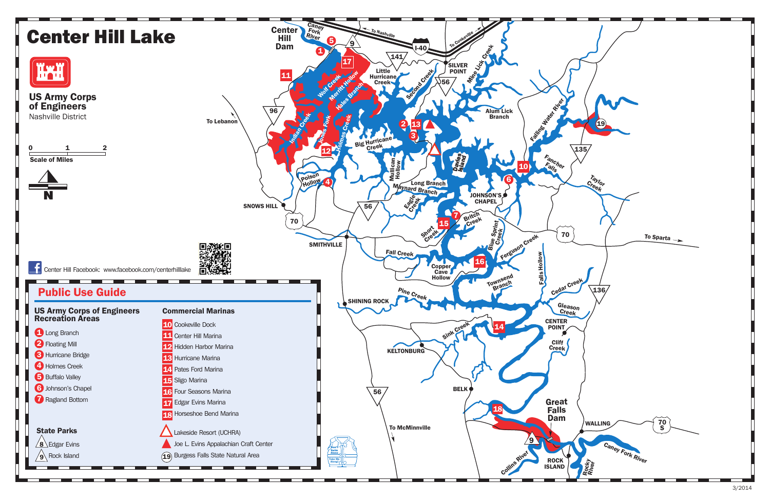